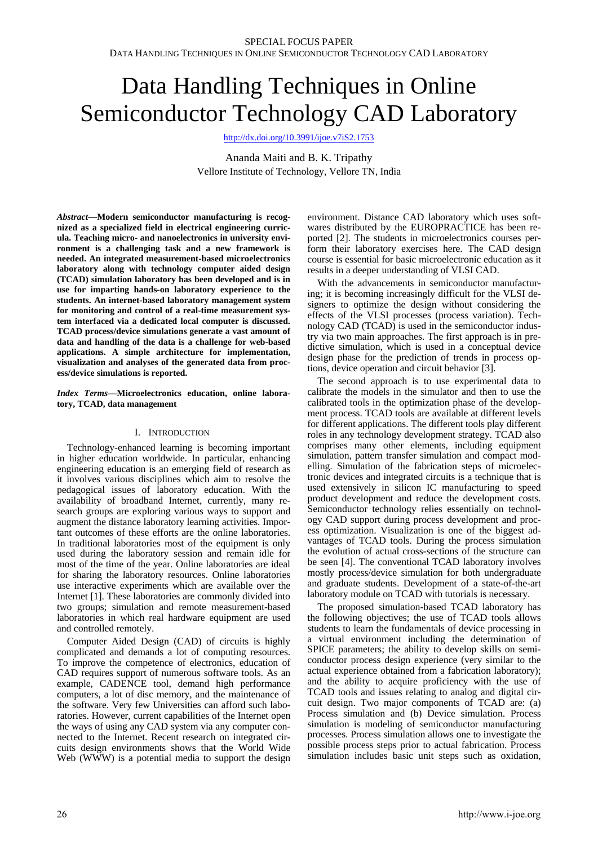# Data Handling Techniques in Online Semiconductor Technology CAD Laboratory

<http://dx.doi.org/10.3991/ijoe.v7iS2.1753>

Ananda Maiti and B. K. Tripathy Vellore Institute of Technology, Vellore TN, India

*Abstract***—Modern semiconductor manufacturing is recognized as a specialized field in electrical engineering curricula. Teaching micro- and nanoelectronics in university environment is a challenging task and a new framework is needed. An integrated measurement-based microelectronics laboratory along with technology computer aided design (TCAD) simulation laboratory has been developed and is in use for imparting hands-on laboratory experience to the students. An internet-based laboratory management system for monitoring and control of a real-time measurement system interfaced via a dedicated local computer is discussed. TCAD process/device simulations generate a vast amount of data and handling of the data is a challenge for web-based applications. A simple architecture for implementation, visualization and analyses of the generated data from process/device simulations is reported.** 

*Index Terms***—Microelectronics education, online laboratory, TCAD, data management** 

## I. INTRODUCTION

Technology-enhanced learning is becoming important in higher education worldwide. In particular, enhancing engineering education is an emerging field of research as it involves various disciplines which aim to resolve the pedagogical issues of laboratory education. With the availability of broadband Internet, currently, many research groups are exploring various ways to support and augment the distance laboratory learning activities. Important outcomes of these efforts are the online laboratories. In traditional laboratories most of the equipment is only used during the laboratory session and remain idle for most of the time of the year. Online laboratories are ideal for sharing the laboratory resources. Online laboratories use interactive experiments which are available over the Internet [1]. These laboratories are commonly divided into two groups; simulation and remote measurement-based laboratories in which real hardware equipment are used and controlled remotely.

Computer Aided Design (CAD) of circuits is highly complicated and demands a lot of computing resources. To improve the competence of electronics, education of CAD requires support of numerous software tools. As an example, CADENCE tool, demand high performance computers, a lot of disc memory, and the maintenance of the software. Very few Universities can afford such laboratories. However, current capabilities of the Internet open the ways of using any CAD system via any computer connected to the Internet. Recent research on integrated circuits design environments shows that the World Wide Web (WWW) is a potential media to support the design

environment. Distance CAD laboratory which uses softwares distributed by the EUROPRACTICE has been reported [2]. The students in microelectronics courses perform their laboratory exercises here. The CAD design course is essential for basic microelectronic education as it results in a deeper understanding of VLSI CAD.

With the advancements in semiconductor manufacturing; it is becoming increasingly difficult for the VLSI designers to optimize the design without considering the effects of the VLSI processes (process variation). Technology CAD (TCAD) is used in the semiconductor industry via two main approaches. The first approach is in predictive simulation, which is used in a conceptual device design phase for the prediction of trends in process options, device operation and circuit behavior [3].

The second approach is to use experimental data to calibrate the models in the simulator and then to use the calibrated tools in the optimization phase of the development process. TCAD tools are available at different levels for different applications. The different tools play different roles in any technology development strategy. TCAD also comprises many other elements, including equipment simulation, pattern transfer simulation and compact modelling. Simulation of the fabrication steps of microelectronic devices and integrated circuits is a technique that is used extensively in silicon IC manufacturing to speed product development and reduce the development costs. Semiconductor technology relies essentially on technology CAD support during process development and process optimization. Visualization is one of the biggest advantages of TCAD tools. During the process simulation the evolution of actual cross-sections of the structure can be seen [4]. The conventional TCAD laboratory involves mostly process/device simulation for both undergraduate and graduate students. Development of a state-of-the-art laboratory module on TCAD with tutorials is necessary.

The proposed simulation-based TCAD laboratory has the following objectives; the use of TCAD tools allows students to learn the fundamentals of device processing in a virtual environment including the determination of SPICE parameters; the ability to develop skills on semiconductor process design experience (very similar to the actual experience obtained from a fabrication laboratory); and the ability to acquire proficiency with the use of TCAD tools and issues relating to analog and digital circuit design. Two major components of TCAD are: (a) Process simulation and (b) Device simulation. Process simulation is modeling of semiconductor manufacturing processes. Process simulation allows one to investigate the possible process steps prior to actual fabrication. Process simulation includes basic unit steps such as oxidation,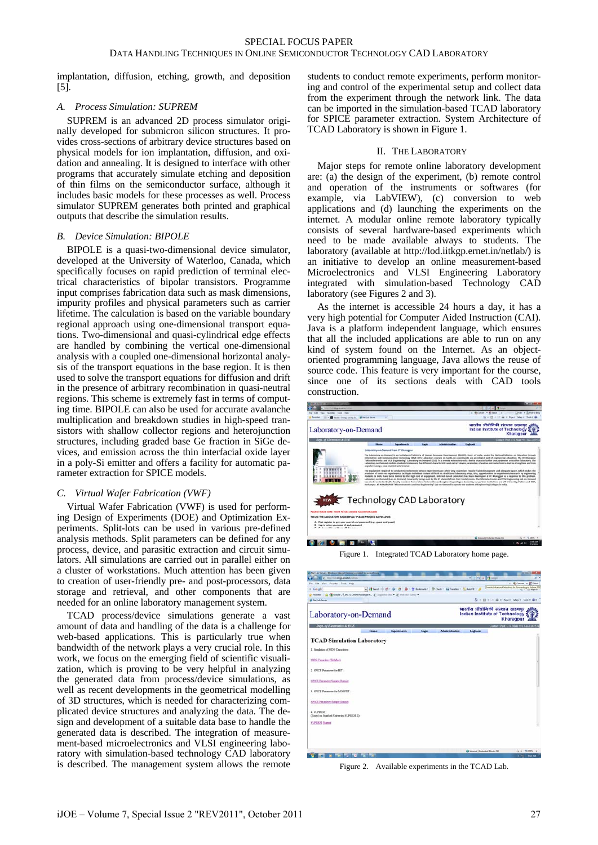implantation, diffusion, etching, growth, and deposition [5].

# *A. Process Simulation: SUPREM*

SUPREM is an advanced 2D process simulator originally developed for submicron silicon structures. It provides cross-sections of arbitrary device structures based on physical models for ion implantation, diffusion, and oxidation and annealing. It is designed to interface with other programs that accurately simulate etching and deposition of thin films on the semiconductor surface, although it includes basic models for these processes as well. Process simulator SUPREM generates both printed and graphical outputs that describe the simulation results.

## *B. Device Simulation: BIPOLE*

BIPOLE is a quasi-two-dimensional device simulator, developed at the University of Waterloo, Canada, which specifically focuses on rapid prediction of terminal electrical characteristics of bipolar transistors. Programme input comprises fabrication data such as mask dimensions, impurity profiles and physical parameters such as carrier lifetime. The calculation is based on the variable boundary regional approach using one-dimensional transport equations. Two-dimensional and quasi-cylindrical edge effects are handled by combining the vertical one-dimensional analysis with a coupled one-dimensional horizontal analysis of the transport equations in the base region. It is then used to solve the transport equations for diffusion and drift in the presence of arbitrary recombination in quasi-neutral regions. This scheme is extremely fast in terms of computing time. BIPOLE can also be used for accurate avalanche multiplication and breakdown studies in high-speed transistors with shallow collector regions and heterojunction structures, including graded base Ge fraction in SiGe devices, and emission across the thin interfacial oxide layer in a poly-Si emitter and offers a facility for automatic parameter extraction for SPICE models.

# *C. Virtual Wafer Fabrication (VWF)*

Virtual Wafer Fabrication (VWF) is used for performing Design of Experiments (DOE) and Optimization Experiments. Split-lots can be used in various pre-defined analysis methods. Split parameters can be defined for any process, device, and parasitic extraction and circuit simulators. All simulations are carried out in parallel either on a cluster of workstations. Much attention has been given to creation of user-friendly pre- and post-processors, data storage and retrieval, and other components that are needed for an online laboratory management system.

TCAD process/device simulations generate a vast amount of data and handling of the data is a challenge for web-based applications. This is particularly true when bandwidth of the network plays a very crucial role. In this work, we focus on the emerging field of scientific visualization, which is proving to be very helpful in analyzing the generated data from process/device simulations, as well as recent developments in the geometrical modelling of 3D structures, which is needed for characterizing complicated device structures and analyzing the data. The design and development of a suitable data base to handle the generated data is described. The integration of measurement-based microelectronics and VLSI engineering laboratory with simulation-based technology CAD laboratory is described. The management system allows the remote

students to conduct remote experiments, perform monitoring and control of the experimental setup and collect data from the experiment through the network link. The data can be imported in the simulation-based TCAD laboratory for SPICE parameter extraction. System Architecture of TCAD Laboratory is shown in Figure 1.

# II. THE LABORATORY

Major steps for remote online laboratory development are: (a) the design of the experiment, (b) remote control and operation of the instruments or softwares (for example, via LabVIEW), (c) conversion to web applications and (d) launching the experiments on the internet. A modular online remote laboratory typically consists of several hardware-based experiments which need to be made available always to students. The laboratory (available at http://lod.iitkgp.ernet.in/netlab/) is an initiative to develop an online measurement-based Microelectronics and VLSI Engineering Laboratory integrated with simulation-based Technology CAD laboratory (see Figures 2 and 3).

As the internet is accessible 24 hours a day, it has a very high potential for Computer Aided Instruction (CAI). Java is a platform independent language, which ensures that all the included applications are able to run on any kind of system found on the Internet. As an objectoriented programming language, Java allows the reuse of source code. This feature is very important for the course, since one of its sections deals with CAD tools construction.



Figure 1. Integrated TCAD Laboratory home page.

| <b>W. P. Important Magazine Artists</b>                                                        |             |             |              |                                                | ●日日× 佐藤                                                               |                                                                             |
|------------------------------------------------------------------------------------------------|-------------|-------------|--------------|------------------------------------------------|-----------------------------------------------------------------------|-----------------------------------------------------------------------------|
| Eds View Favorites Toyot Help<br>Fde<br>x Gorgh                                                |             |             |              | - O Submatc - D Ont - Si Tunite - Si Andit - A |                                                                       | x @conet = Blistet<br>Erakis Advenced Selection for Converting to Adobe PDF |
| Favorite: (2) 2 George , 2, BCTC Onless Passwage R., (2) Supported Star. (4) 19th Strainbox 7. |             |             |              |                                                |                                                                       |                                                                             |
| <b>William Lab Server</b>                                                                      |             |             |              |                                                |                                                                       | G + E + II de + Pape Salaty + Tools + G +                                   |
| Laboratory-on-Demand                                                                           |             |             |              |                                                | आरतीय प्रौद्योगिकी संस्थान खडगपुर औ<br>Indian Institute of Technology | Kharagpur A                                                                 |
| Dept. of Electronics & ECI                                                                     |             |             |              |                                                |                                                                       | Contact: Prof. C.K. Maid +93 7222 283532                                    |
|                                                                                                | <b>Home</b> | Experiments | <b>Login</b> | Administration                                 | <b>Lughook</b>                                                        |                                                                             |
| <b>TCAD Simulation Laboratory</b>                                                              |             |             |              |                                                |                                                                       |                                                                             |
| 1. Simulation of MOS Capacitors:                                                               |             |             |              |                                                |                                                                       |                                                                             |
|                                                                                                |             |             |              |                                                |                                                                       |                                                                             |
| MOS Capachin (Heblos)                                                                          |             |             |              |                                                |                                                                       |                                                                             |
| 2. SPICE Parameter for BIT                                                                     |             |             |              |                                                |                                                                       |                                                                             |
| SPICE Parameter Sangle Dataiet                                                                 |             |             |              |                                                |                                                                       |                                                                             |
| 3: SPICE Parameter for MOSEET:                                                                 |             |             |              |                                                |                                                                       |                                                                             |
| SPICE Parameter Sangle Dataset                                                                 |             |             |              |                                                |                                                                       |                                                                             |
| 4 SUPREM-<br>(Based on Stanford University SUPREM II)                                          |             |             |              |                                                |                                                                       |                                                                             |
| SUPREM Manual                                                                                  |             |             |              |                                                |                                                                       |                                                                             |
|                                                                                                |             |             |              |                                                |                                                                       |                                                                             |
|                                                                                                |             |             |              |                                                | <b>All Internet   Fretected Mode Off</b>                              | G + 5,00% +                                                                 |
| The Co. 12 To Tax                                                                              |             |             |              |                                                |                                                                       | $+ 10 - 9.7794$                                                             |

Figure 2. Available experiments in the TCAD Lab.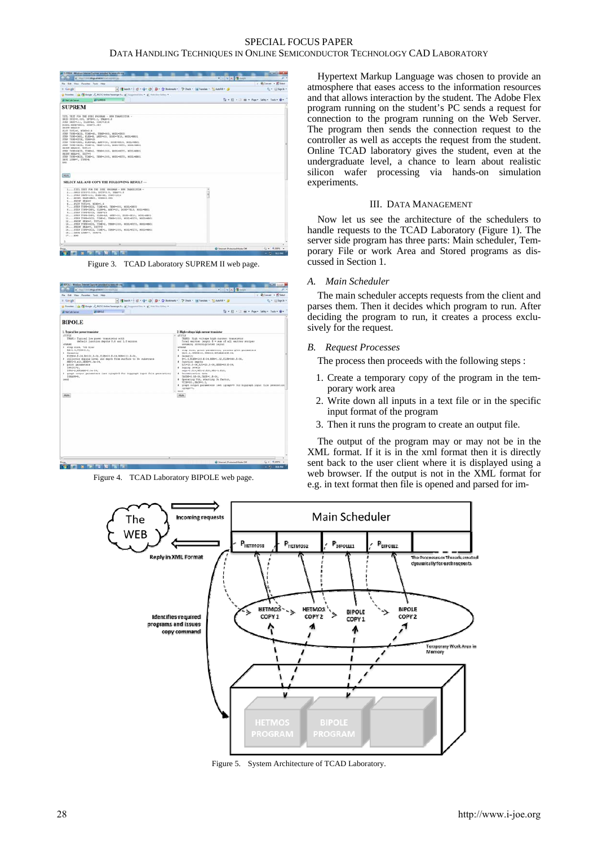# SPECIAL FOCUS PAPER

#### DATA HANDLING TECHNIQUES IN ONLINE SEMICONDUCTOR TECHNOLOGY CAD LABORATORY

|                                                                                                                                                                                                                                                                                                                                                                                                                                                                                                                                                                                                                                                                                                                | 不可可以 化二 |                                        |
|----------------------------------------------------------------------------------------------------------------------------------------------------------------------------------------------------------------------------------------------------------------------------------------------------------------------------------------------------------------------------------------------------------------------------------------------------------------------------------------------------------------------------------------------------------------------------------------------------------------------------------------------------------------------------------------------------------------|---------|----------------------------------------|
| File Edit View Farester, Tests Help                                                                                                                                                                                                                                                                                                                                                                                                                                                                                                                                                                                                                                                                            |         | x - @Convet + Bl'icket                 |
| 1 Corgle                                                                                                                                                                                                                                                                                                                                                                                                                                                                                                                                                                                                                                                                                                       |         | 6 + G Spik +                           |
| results : the Compete Color Females R. P. Impossible . F. Web Six Galey                                                                                                                                                                                                                                                                                                                                                                                                                                                                                                                                                                                                                                        |         |                                        |
| <b>27 SJPREM</b><br><b>IS Not Lab Server</b>                                                                                                                                                                                                                                                                                                                                                                                                                                                                                                                                                                                                                                                                   |         | Q + El + Il m + Feart School Techn Mr. |
| <b>SUPREM</b>                                                                                                                                                                                                                                                                                                                                                                                                                                                                                                                                                                                                                                                                                                  |         |                                        |
| TITL TEST FOR THE SUBI FROGRAM - NEW TAAKSIFUR -<br>1910 1132-2.000, DFIN-0.1, 1988-0.8<br>HORD CROTHILL, ELEMAN, CORO-LELA<br>HODEL NAME=HEOL, DEED=2.0ES-<br>PETER READ+Y<br>FLOT TOTL=Y, MIND=0.8<br>STEP TYPE=CKID, TIME=60, TEMP=800, MODL=DETI<br>STEP TYPE=IMPL, ELEM-B, AREV-23, DOSE=7E15, MUDL=RBOL<br>STEP TORS-RTCH, TEMP-25.<br>STEP TYPE=DOL, ELEMAN, AFEV=31, DOSE=1E13, MOL=0BOL<br>STEP TYPE=OXID, TIME=2, TEMP=1000, MODL=HITT, MOSL=HEG1<br>PRINT SEAD-Y. TOTL-Y<br>NTER TYPE=OKID, TIME=2, TEMP=1000, MODL=HITT, MODL=HEO1<br><b>FRIST HEADNE, IDIVAT</b><br>STEP TYPE=OKID, TIME=1, TEMP=1300, MOSL=HIT1, HOSL=HB01<br>SAVE LINE+7, TYPE+A                                                |         |                                        |
|                                                                                                                                                                                                                                                                                                                                                                                                                                                                                                                                                                                                                                                                                                                |         |                                        |
| <b>ALIV</b><br>SELECT ALL AND COPY THE FOLLOWING RESULT -                                                                                                                                                                                                                                                                                                                                                                                                                                                                                                                                                                                                                                                      |         |                                        |
| 1.1., TITL TRIT FOR THE SIBE SHODGE - NEW TRANSLITOR -<br>J  SRID OYNI-0.005, DFTH-0.5, THER-0.9<br>3 FORS (SSC-111, ELEPAS, CONC-1E16)<br>1HODEL NAME=8801, 0508=2.0E9<br>SPHINT HEAD-T<br>S.  FLOT TOTL+T, WIND+U.S<br>7.  STEP TYPE-OKID, TD-E-40, TEMP-910, WOEL-DAYO<br>WSTEP TYPE=DOS, ELEMAS, ANEV-25, DOSE="E13, MOD-ROUL<br>S  STEP TYPE=ETCH, TEMP=25.<br>10HTEP TYPE-DOU, HIER-AS, ANEV-30, DOSE-HELD, MOLL-MESS<br>11 STEP TYPE-CRID, TIME-2, TEMP-1000, MODE-HITO, MODE-MECL<br>12 FRINT HEADWE, TOTLAY<br>13HTEP TYPE=CAID, TIME=2, TEMP=[201, MCEL=HITO, MCEL=MDCL<br>14 PRINT HEAD-T, INCO-P<br>15STEP TYPE=CKID, TIME=1, TEMP=1000, MODE=MITO, MODE=MECL<br>14.  SAVE LISBNT, TIPP-A<br>17100 |         |                                        |
|                                                                                                                                                                                                                                                                                                                                                                                                                                                                                                                                                                                                                                                                                                                |         |                                        |

Figure 3. TCAD Laboratory SUPREM II web page.



Figure 4. TCAD Laboratory BIPOLE web page.

Hypertext Markup Language was chosen to provide an atmosphere that eases access to the information resources and that allows interaction by the student. The Adobe Flex program running on the student's PC sends a request for connection to the program running on the Web Server. The program then sends the connection request to the controller as well as accepts the request from the student. Online TCAD laboratory gives the student, even at the undergraduate level, a chance to learn about realistic silicon wafer processing via hands-on simulation experiments.

#### III. DATA MANAGEMENT

Now let us see the architecture of the schedulers to handle requests to the TCAD Laboratory (Figure 1). The server side program has three parts: Main scheduler, Temporary File or work Area and Stored programs as discussed in Section 1.

# *A. Main Scheduler*

The main scheduler accepts requests from the client and parses them. Then it decides which program to run. After deciding the program to run, it creates a process exclusively for the request.

#### *B. Request Processes*

The process then proceeds with the following steps :

- 1. Create a temporary copy of the program in the temporary work area
- 2. Write down all inputs in a text file or in the specific input format of the program
- 3. Then it runs the program to create an output file.

The output of the program may or may not be in the XML format. If it is in the xml format then it is directly sent back to the user client where it is displayed using a web browser. If the output is not in the XML format for e.g. in text format then file is opened and parsed for im-



28 http://www.i-joe.org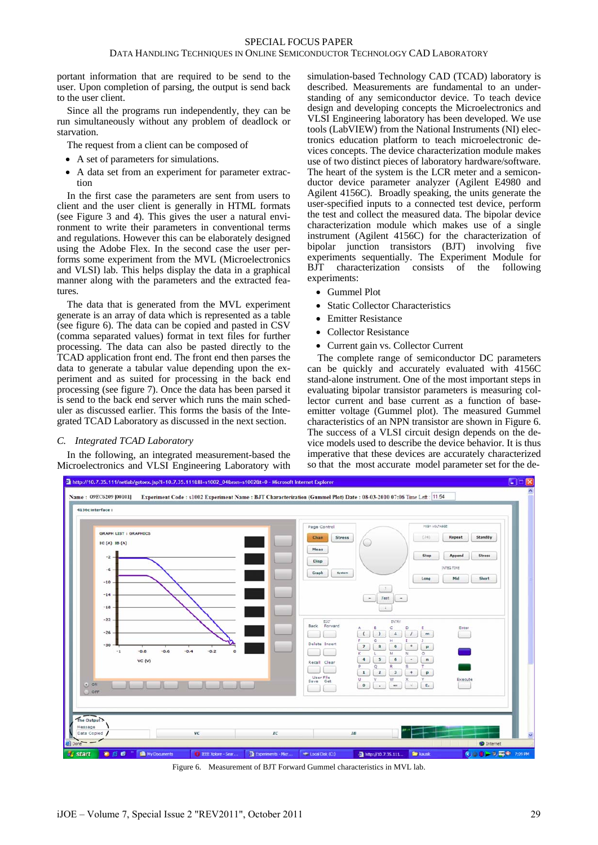#### DATA HANDLING TECHNIQUES IN ONLINE SEMICONDUCTOR TECHNOLOGY CAD LABORATORY

portant information that are required to be send to the user. Upon completion of parsing, the output is send back to the user client.

Since all the programs run independently, they can be run simultaneously without any problem of deadlock or starvation.

The request from a client can be composed of

- A set of parameters for simulations.
- A data set from an experiment for parameter extraction

In the first case the parameters are sent from users to client and the user client is generally in HTML formats (see Figure 3 and 4). This gives the user a natural environment to write their parameters in conventional terms and regulations. However this can be elaborately designed using the Adobe Flex. In the second case the user performs some experiment from the MVL (Microelectronics and VLSI) lab. This helps display the data in a graphical manner along with the parameters and the extracted features.

The data that is generated from the MVL experiment generate is an array of data which is represented as a table (see figure 6). The data can be copied and pasted in CSV (comma separated values) format in text files for further processing. The data can also be pasted directly to the TCAD application front end. The front end then parses the data to generate a tabular value depending upon the experiment and as suited for processing in the back end processing (see figure 7). Once the data has been parsed it is send to the back end server which runs the main scheduler as discussed earlier. This forms the basis of the Integrated TCAD Laboratory as discussed in the next section.

## *C. Integrated TCAD Laboratory*

In the following, an integrated measurement-based the Microelectronics and VLSI Engineering Laboratory with simulation-based Technology CAD (TCAD) laboratory is described. Measurements are fundamental to an understanding of any semiconductor device. To teach device design and developing concepts the Microelectronics and VLSI Engineering laboratory has been developed. We use tools (LabVIEW) from the National Instruments (NI) electronics education platform to teach microelectronic devices concepts. The device characterization module makes use of two distinct pieces of laboratory hardware/software. The heart of the system is the LCR meter and a semiconductor device parameter analyzer (Agilent E4980 and Agilent 4156C). Broadly speaking, the units generate the user-specified inputs to a connected test device, perform the test and collect the measured data. The bipolar device characterization module which makes use of a single instrument (Agilent 4156C) for the characterization of bipolar junction transistors (BJT) involving five experiments sequentially. The Experiment Module for BJT characterization consists of the following experiments:

- Gummel Plot
- Static Collector Characteristics
- Emitter Resistance
- Collector Resistance
- Current gain vs. Collector Current

The complete range of semiconductor DC parameters can be quickly and accurately evaluated with 4156C stand-alone instrument. One of the most important steps in evaluating bipolar transistor parameters is measuring collector current and base current as a function of baseemitter voltage (Gummel plot). The measured Gummel characteristics of an NPN transistor are shown in Figure 6. The success of a VLSI circuit design depends on the device models used to describe the device behavior. It is thus imperative that these devices are accurately characterized so that the most accurate model parameter set for the de-



Figure 6. Measurement of BJT Forward Gummel characteristics in MVL lab.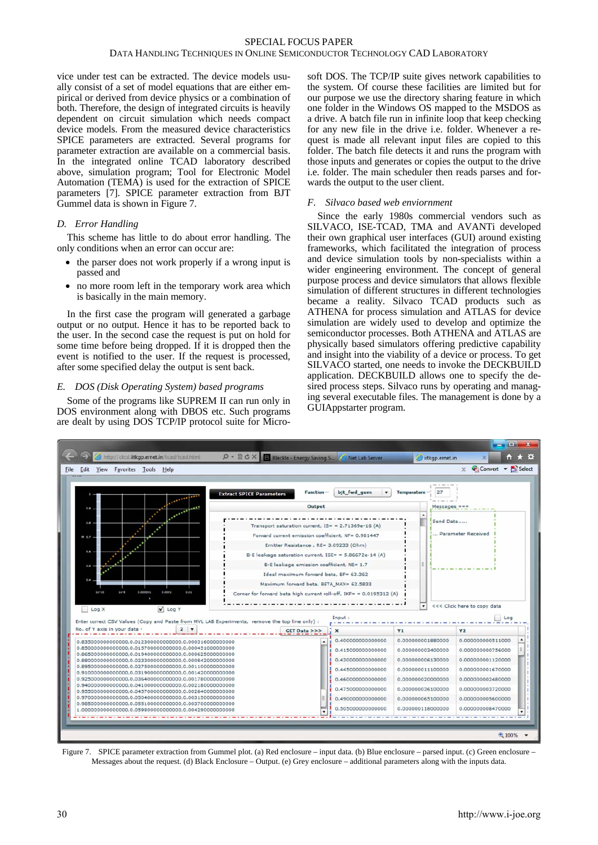#### SPECIAL FOCUS PAPER DATA HANDLING TECHNIQUES IN ONLINE SEMICONDUCTOR TECHNOLOGY CAD LABORATORY

vice under test can be extracted. The device models usually consist of a set of model equations that are either empirical or derived from device physics or a combination of both. Therefore, the design of integrated circuits is heavily dependent on circuit simulation which needs compact device models. From the measured device characteristics SPICE parameters are extracted. Several programs for parameter extraction are available on a commercial basis. In the integrated online TCAD laboratory described above, simulation program; Tool for Electronic Model Automation (TEMA) is used for the extraction of SPICE parameters [7]. SPICE parameter extraction from BJT Gummel data is shown in Figure 7.

# *D. Error Handling*

This scheme has little to do about error handling. The only conditions when an error can occur are:

- the parser does not work properly if a wrong input is passed and
- no more room left in the temporary work area which is basically in the main memory.

In the first case the program will generated a garbage output or no output. Hence it has to be reported back to the user. In the second case the request is put on hold for some time before being dropped. If it is dropped then the event is notified to the user. If the request is processed, after some specified delay the output is sent back.

# *E. DOS (Disk Operating System) based programs*

Some of the programs like SUPREM II can run only in DOS environment along with DBOS etc. Such programs are dealt by using DOS TCP/IP protocol suite for Microsoft DOS. The TCP/IP suite gives network capabilities to the system. Of course these facilities are limited but for our purpose we use the directory sharing feature in which one folder in the Windows OS mapped to the MSDOS as a drive. A batch file run in infinite loop that keep checking for any new file in the drive i.e. folder. Whenever a request is made all relevant input files are copied to this folder. The batch file detects it and runs the program with those inputs and generates or copies the output to the drive i.e. folder. The main scheduler then reads parses and forwards the output to the user client.

# *F. Silvaco based web enviornment*

Since the early 1980s commercial vendors such as SILVACO, ISE-TCAD, TMA and AVANTi developed their own graphical user interfaces (GUI) around existing frameworks, which facilitated the integration of process and device simulation tools by non-specialists within a wider engineering environment. The concept of general purpose process and device simulators that allows flexible simulation of different structures in different technologies became a reality. Silvaco TCAD products such as ATHENA for process simulation and ATLAS for device simulation are widely used to develop and optimize the semiconductor processes. Both ATHENA and ATLAS are physically based simulators offering predictive capability and insight into the viability of a device or process. To get SILVACO started, one needs to invoke the DECKBUILD application. DECKBUILD allows one to specify the desired process steps. Silvaco runs by operating and managing several executable files. The management is done by a GUIAppstarter program.



Figure 7. SPICE parameter extraction from Gummel plot. (a) Red enclosure – input data. (b) Blue enclosure – parsed input. (c) Green enclosure -Messages about the request. (d) Black Enclosure – Output. (e) Grey enclosure – additional parameters along with the inputs data.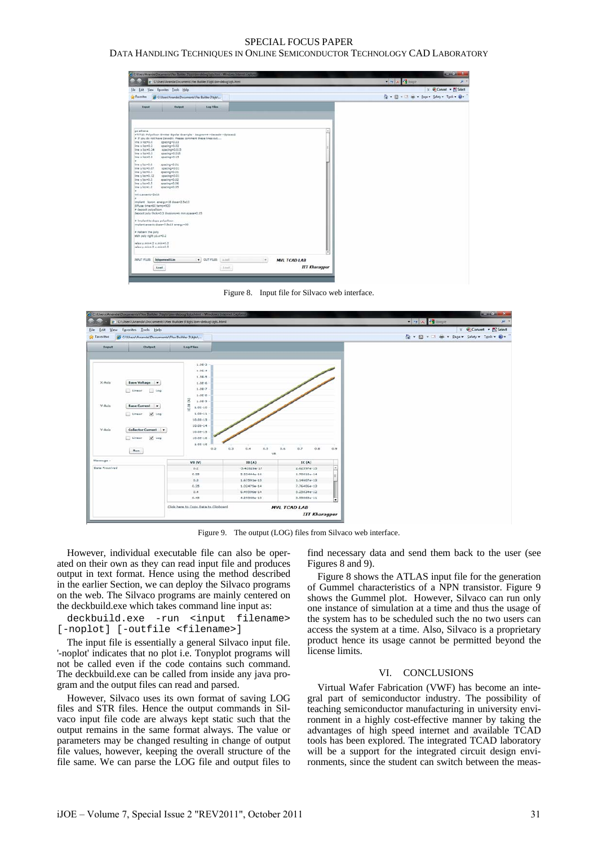#### SPECIAL FOCUS PAPER

DATA HANDLING TECHNIQUES IN ONLINE SEMICONDUCTOR TECHNOLOGY CAD LABORATORY

| Al Citizensknande Documents View Suider Sight an-debug to puters - Windows Internet Equip et                                                                                                                                                                                                                                                                                                                                                                                                                                                                                                                                                                                                                                                                                                                                                                                                                                                                                 | <b>SCALE AN</b>                            |
|------------------------------------------------------------------------------------------------------------------------------------------------------------------------------------------------------------------------------------------------------------------------------------------------------------------------------------------------------------------------------------------------------------------------------------------------------------------------------------------------------------------------------------------------------------------------------------------------------------------------------------------------------------------------------------------------------------------------------------------------------------------------------------------------------------------------------------------------------------------------------------------------------------------------------------------------------------------------------|--------------------------------------------|
| it Cillien/Ananda/Documents/Flex Builder 7/bits/bin-debug/bits.html                                                                                                                                                                                                                                                                                                                                                                                                                                                                                                                                                                                                                                                                                                                                                                                                                                                                                                          | - hy x   情 mga<br>$\Omega$ .               |
| File Edit<br>View Favorites Tools Help                                                                                                                                                                                                                                                                                                                                                                                                                                                                                                                                                                                                                                                                                                                                                                                                                                                                                                                                       | X Convert . PO Select                      |
| <b><i>Pavorites</i></b><br>C:\Users\Ananda\Documents\Flex Builder 3\bjts\                                                                                                                                                                                                                                                                                                                                                                                                                                                                                                                                                                                                                                                                                                                                                                                                                                                                                                    | G - El - □ m - Expe - Safety - Tgols → B - |
| Output<br><b>Log Files</b><br><b>Jeput</b>                                                                                                                                                                                                                                                                                                                                                                                                                                                                                                                                                                                                                                                                                                                                                                                                                                                                                                                                   |                                            |
| go athena<br>$\bullet$<br>#TITLE: Polysilicon Emitter Bipolar Example - Sauprem4->Devedit->Spisces2<br># If you do not have Devedit: Please comment these lines out<br>line x loc=0.0<br>specing=0.03<br>line x loc=0.2<br>specing=0.02<br>line x loc=0.24<br>spacing=0.015<br>line a lock0.3<br>spacing ×0.015<br>line x locvO.8<br>spacing#0.13<br>line y loced.0<br>spacing+0.01<br>line y loce0.07<br>specing=0.01<br>line y locv0.1<br>spacing=0.01<br>line y locv0.12<br>spacing=0.01<br>line y locv0.3<br>spacing+0.02<br>line y loc=0.5<br>spacing+0.06<br>line y loc=1.0<br>spacing#0.35<br>٠<br>int carsenic+2+16<br>implant boron energy=18 dose=2.5e13<br>diffuse time+60 temp+920<br>* deposit polysilicon<br>deposit poly thick=0.3 divisions=6 min.space=0.05<br># Implant to depe polyalizon<br>implant arsenic dose=7.5e13 energy=50<br># Rattern the poly<br>S.D=w.1s Mgh ylog Aste<br>\$10 minus \$. eminy yalan<br>relax y.min=.2 x.min=0.2<br>$\bullet$ |                                            |
| <b>INPUT FILES</b><br>bjtgumex91.in<br>v OUT FILES<br>a.out<br>$\vert x \vert$<br><b>MVL TCAD LAB</b>                                                                                                                                                                                                                                                                                                                                                                                                                                                                                                                                                                                                                                                                                                                                                                                                                                                                        |                                            |
| <b>IIT Kharagpur</b><br>Lead<br>$10-8$                                                                                                                                                                                                                                                                                                                                                                                                                                                                                                                                                                                                                                                                                                                                                                                                                                                                                                                                       |                                            |

Figure 8. Input file for Silvaco web interface.



Figure 9. The output (LOG) files from Silvaco web interface.

However, individual executable file can also be operated on their own as they can read input file and produces output in text format. Hence using the method described in the earlier Section, we can deploy the Silvaco programs on the web. The Silvaco programs are mainly centered on the deckbuild.exe which takes command line input as:

deckbuild.exe -run <input filename> [-noplot] [-outfile <filename>]

The input file is essentially a general Silvaco input file. '-noplot' indicates that no plot i.e. Tonyplot programs will not be called even if the code contains such command. The deckbuild.exe can be called from inside any java program and the output files can read and parsed.

However, Silvaco uses its own format of saving LOG files and STR files. Hence the output commands in Silvaco input file code are always kept static such that the output remains in the same format always. The value or parameters may be changed resulting in change of output file values, however, keeping the overall structure of the file same. We can parse the LOG file and output files to

find necessary data and send them back to the user (see Figures 8 and 9).

Figure 8 shows the ATLAS input file for the generation of Gummel characteristics of a NPN transistor. Figure 9 shows the Gummel plot. However, Silvaco can run only one instance of simulation at a time and thus the usage of the system has to be scheduled such the no two users can access the system at a time. Also, Silvaco is a proprietary product hence its usage cannot be permitted beyond the license limits.

#### VI. CONCLUSIONS

Virtual Wafer Fabrication (VWF) has become an integral part of semiconductor industry. The possibility of teaching semiconductor manufacturing in university environment in a highly cost-effective manner by taking the advantages of high speed internet and available TCAD tools has been explored. The integrated TCAD laboratory will be a support for the integrated circuit design environments, since the student can switch between the meas-